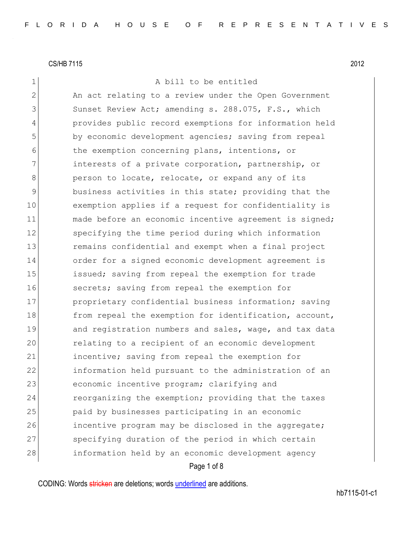1 A bill to be entitled 2 An act relating to a review under the Open Government 3 Sunset Review Act; amending s. 288.075, F.S., which 4 provides public record exemptions for information held 5 by economic development agencies; saving from repeal 6 the exemption concerning plans, intentions, or 7 1111 1111 interests of a private corporation, partnership, or 8 **person to locate, relocate, or expand any of its** 9 business activities in this state; providing that the 10 exemption applies if a request for confidentiality is 11 made before an economic incentive agreement is signed; 12 specifying the time period during which information 13 13 remains confidential and exempt when a final project 14 order for a signed economic development agreement is 15 issued; saving from repeal the exemption for trade 16 secrets; saving from repeal the exemption for 17 proprietary confidential business information; saving 18 from repeal the exemption for identification, account, 19 and registration numbers and sales, wage, and tax data 20 relating to a recipient of an economic development 21 incentive; saving from repeal the exemption for 22 information held pursuant to the administration of an 23 economic incentive program; clarifying and 24 reorganizing the exemption; providing that the taxes 25 paid by businesses participating in an economic 26 incentive program may be disclosed in the aggregate; 27 Specifying duration of the period in which certain 28 information held by an economic development agency

### Page 1 of 8

CODING: Words stricken are deletions; words underlined are additions.

hb7115-01-c1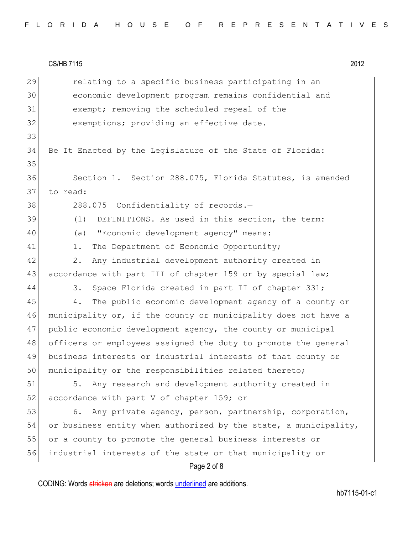| 29 | relating to a specific business participating in an              |
|----|------------------------------------------------------------------|
| 30 | economic development program remains confidential and            |
| 31 | exempt; removing the scheduled repeal of the                     |
| 32 | exemptions; providing an effective date.                         |
| 33 |                                                                  |
| 34 | Be It Enacted by the Legislature of the State of Florida:        |
| 35 |                                                                  |
| 36 | Section 1. Section 288.075, Florida Statutes, is amended         |
| 37 | to read:                                                         |
| 38 | 288.075 Confidentiality of records.-                             |
| 39 | DEFINITIONS. - As used in this section, the term:<br>(1)         |
| 40 | "Economic development agency" means:<br>(a)                      |
| 41 | The Department of Economic Opportunity;<br>$1$ .                 |
| 42 | Any industrial development authority created in<br>2.            |
| 43 | accordance with part III of chapter 159 or by special law;       |
| 44 | Space Florida created in part II of chapter 331;<br>3.           |
| 45 | The public economic development agency of a county or<br>4.      |
| 46 | municipality or, if the county or municipality does not have a   |
| 47 | public economic development agency, the county or municipal      |
| 48 | officers or employees assigned the duty to promote the general   |
| 49 | business interests or industrial interests of that county or     |
| 50 | municipality or the responsibilities related thereto;            |
| 51 | Any research and development authority created in<br>5.          |
| 52 | accordance with part V of chapter 159; or                        |
| 53 | Any private agency, person, partnership, corporation,<br>6.      |
| 54 | or business entity when authorized by the state, a municipality, |
| 55 | or a county to promote the general business interests or         |
| 56 | industrial interests of the state or that municipality or        |
|    | Page 2 of 8                                                      |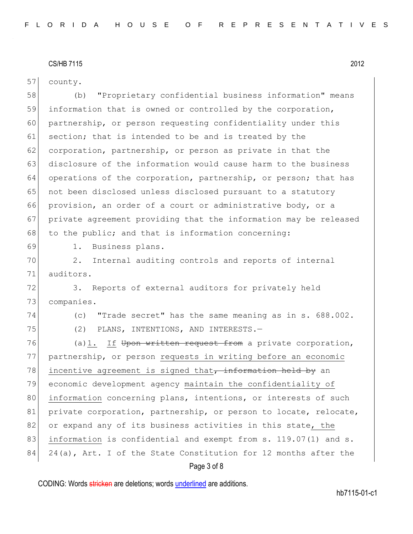57 county.

58 (b) "Proprietary confidential business information" means 59 information that is owned or controlled by the corporation, 60 partnership, or person requesting confidentiality under this 61 section; that is intended to be and is treated by the 62 corporation, partnership, or person as private in that the 63 disclosure of the information would cause harm to the business 64 operations of the corporation, partnership, or person; that has 65 | not been disclosed unless disclosed pursuant to a statutory 66 provision, an order of a court or administrative body, or a 67 private agreement providing that the information may be released 68 to the public; and that is information concerning:

69 1. Business plans.

70 2. Internal auditing controls and reports of internal 71 auditors.

72 3. Reports of external auditors for privately held 73 companies.

74 (c) "Trade secret" has the same meaning as in s. 688.002. 75 (2) PLANS, INTENTIONS, AND INTERESTS.—

76 (a)1. If Upon written request from a private corporation, 77 partnership, or person requests in writing before an economic 78 incentive agreement is signed that, information held by an 79 economic development agency maintain the confidentiality of 80 information concerning plans, intentions, or interests of such 81 private corporation, partnership, or person to locate, relocate, 82 or expand any of its business activities in this state, the 83 information is confidential and exempt from s. 119.07(1) and s. 84 24(a), Art. I of the State Constitution for 12 months after the

# Page 3 of 8

CODING: Words stricken are deletions; words underlined are additions.

hb7115-01-c1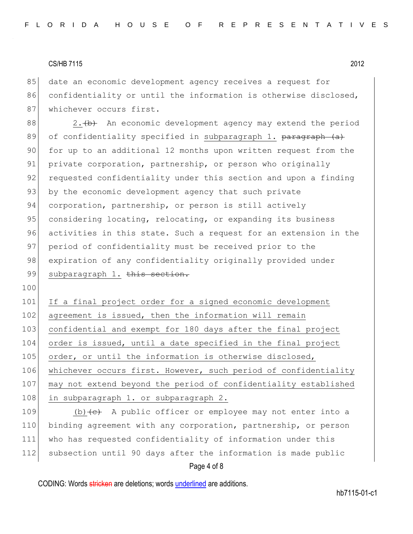85 date an economic development agency receives a request for 86 confidentiality or until the information is otherwise disclosed, 87 whichever occurs first.

88  $\vert$  2.  $\vert$  2. An economic development agency may extend the period 89 of confidentiality specified in subparagraph 1. paragraph (a) 90 for up to an additional 12 months upon written request from the 91 private corporation, partnership, or person who originally 92 requested confidentiality under this section and upon a finding 93 by the economic development agency that such private 94 corporation, partnership, or person is still actively 95 considering locating, relocating, or expanding its business 96 activities in this state. Such a request for an extension in the 97 period of confidentiality must be received prior to the 98 expiration of any confidentiality originally provided under 99 subparagraph 1. this section.

100

101 If a final project order for a signed economic development 102 agreement is issued, then the information will remain 103 confidential and exempt for 180 days after the final project 104 order is issued, until a date specified in the final project 105 order, or until the information is otherwise disclosed, 106 whichever occurs first. However, such period of confidentiality 107 may not extend beyond the period of confidentiality established 108 in subparagraph 1. or subparagraph 2.

109 (b)  $\left\{e\right\}$  A public officer or employee may not enter into a 110 binding agreement with any corporation, partnership, or person 111 who has requested confidentiality of information under this 112 subsection until 90 days after the information is made public

# Page 4 of 8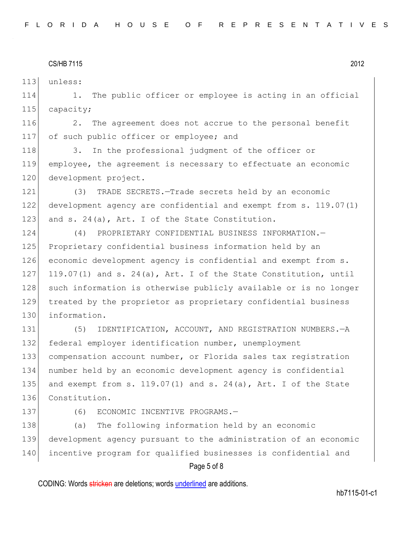113 unless:

114 1. The public officer or employee is acting in an official 115 capacity;

116 2. The agreement does not accrue to the personal benefit 117 of such public officer or employee; and

118 3. In the professional judgment of the officer or 119 employee, the agreement is necessary to effectuate an economic 120 development project.

121 (3) TRADE SECRETS.—Trade secrets held by an economic 122 development agency are confidential and exempt from s. 119.07(1) 123 and s. 24(a), Art. I of the State Constitution.

124 (4) PROPRIETARY CONFIDENTIAL BUSINESS INFORMATION.— 125 Proprietary confidential business information held by an 126 economic development agency is confidential and exempt from s. 127 119.07(1) and s. 24(a), Art. I of the State Constitution, until 128 such information is otherwise publicly available or is no longer 129 treated by the proprietor as proprietary confidential business 130 information.

 (5) IDENTIFICATION, ACCOUNT, AND REGISTRATION NUMBERS.—A federal employer identification number, unemployment compensation account number, or Florida sales tax registration number held by an economic development agency is confidential 135 and exempt from s.  $119.07(1)$  and s.  $24(a)$ , Art. I of the State 136 Constitution.

137 (6) ECONOMIC INCENTIVE PROGRAMS.-

138 (a) The following information held by an economic 139 development agency pursuant to the administration of an economic 140 incentive program for qualified businesses is confidential and

### Page 5 of 8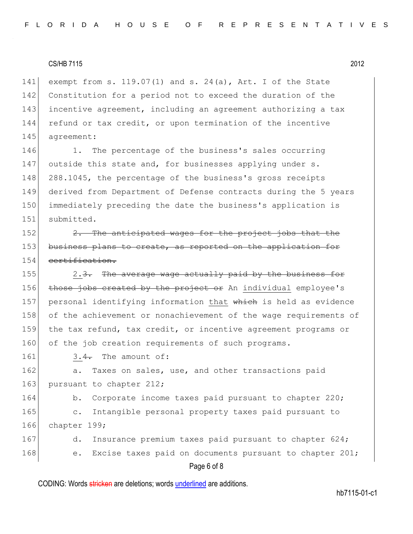141 exempt from s. 119.07(1) and s. 24(a), Art. I of the State 142 Constitution for a period not to exceed the duration of the 143 incentive agreement, including an agreement authorizing a tax 144 refund or tax credit, or upon termination of the incentive 145 agreement:

146 1. The percentage of the business's sales occurring 147 outside this state and, for businesses applying under s. 148 288.1045, the percentage of the business's gross receipts 149 derived from Department of Defense contracts during the 5 years 150 immediately preceding the date the business's application is 151 submitted.

 $152$  2. The anticipated wages for the project jobs that the 153 business plans to create, as reported on the application for 154 certification.

155 2.3. The average wage actually paid by the business for 156 those jobs created by the project or An individual employee's 157 personal identifying information that which is held as evidence 158 of the achievement or nonachievement of the wage requirements of 159 the tax refund, tax credit, or incentive agreement programs or 160 of the job creation requirements of such programs.

 $161$  3.4. The amount of:

162 a. Taxes on sales, use, and other transactions paid 163 pursuant to chapter 212;

164 b. Corporate income taxes paid pursuant to chapter 220; 165 c. Intangible personal property taxes paid pursuant to 166 chapter 199;

167 d. Insurance premium taxes paid pursuant to chapter 624; 168 e. Excise taxes paid on documents pursuant to chapter 201;

# Page 6 of 8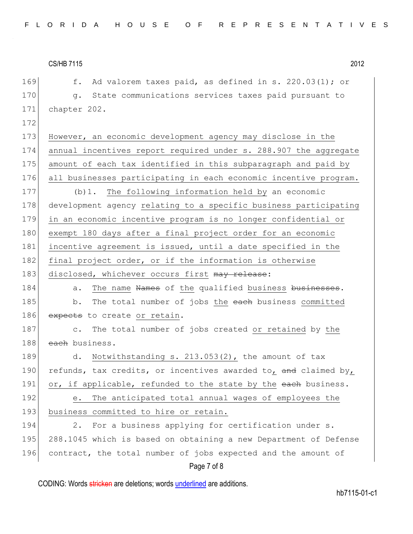170 g. State communications services taxes paid pursuant to 171 chapter 202. 172 173 However, an economic development agency may disclose in the 174 annual incentives report required under s. 288.907 the aggregate 175 amount of each tax identified in this subparagraph and paid by 176 all businesses participating in each economic incentive program. 177 (b) 1. The following information held by an economic 178 development agency relating to a specific business participating 179 in an economic incentive program is no longer confidential or 180 exempt 180 days after a final project order for an economic 181 incentive agreement is issued, until a date specified in the 182 final project order, or if the information is otherwise 183 disclosed, whichever occurs first may release: 184 a. The name Names of the qualified business businesses. 185 b. The total number of jobs the each business committed 186 expects to create or retain. 187 c. The total number of jobs created or retained by the 188 each business.

169  $\vert$  f. Ad valorem taxes paid, as defined in s. 220.03(1); or

189 d. Notwithstanding s. 213.053(2), the amount of tax 190 refunds, tax credits, or incentives awarded to, and claimed by, 191 or, if applicable, refunded to the state by the each business.

192 e. The anticipated total annual wages of employees the 193 business committed to hire or retain.

194 2. For a business applying for certification under s. 195 288.1045 which is based on obtaining a new Department of Defense 196 contract, the total number of jobs expected and the amount of

# Page 7 of 8